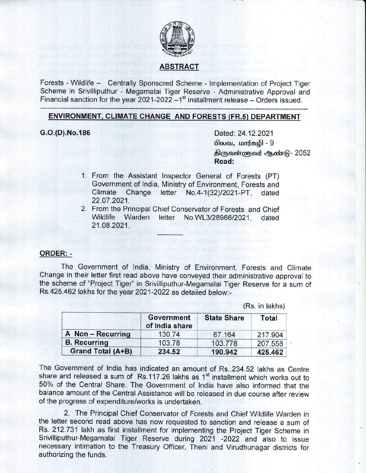

# ABSTRACT

Forests - Wildlife - Centrally Sponsored Scheme - Implementation of Project Tiger Scheme in Srivilliputhur - Megamalai Tiger Reserve - Administrative Approval and Financial sanction for the year 2021-2022  $-1<sup>st</sup>$  installment release  $-$  Orders issued.

# ENVIRONMENT. CLIMATE CHANGE AND FORESTS (FR.s} DEPARTMENT

G.O.(D).No.186 Dated: 24.12.2021 பிலவ, மார்கமி -  $9$ திருவள்ளுவர் ஆண்டு - 2052 Read:

- 1. From the Assistant lnspecton Generai of Forests (PT) Government of India, Ministry of Environment, Forests and<br>Climate Change letter No.4-1(32)/2021-PT. dated Change letter No.4-1(32)/2021-PT, dated 22.07.2021.
- 2. From the Principal Chief Conservator of Forests and Chief Wildlife Warden letter No.WL3/28966/2021, dated 21.08.2021.

#### ORDER: -

The Government of lndia. Ministry of Environment, Forests and Climate Change in their letter first read above have conveyed their administrative approval to the scheme of "Project Tiger" in Srivilliputhur-Megamalai Tiger Reserue for a sum of Rs"425.462 lakhs for the year 2021-2022 as detaiied below:-

|                     | Government<br>of India share | <b>State Share</b> | Total   |
|---------------------|------------------------------|--------------------|---------|
| A Non-Recurring     | 130.74                       | 87.164             | 217.904 |
| <b>B.</b> Recurring | 103.78                       | 103.778            | 207.558 |
| Grand Total (A+B)   | 234.52                       | 190.942            | 425.462 |

(Rs. in lakhs)

The Government of lndia has indicated an amount of Rs..234.52 lakhs as Centre share and released a sum of Rs.117.26 lakhs as 1<sup>st</sup> installment which works out to 50% of the Central Share. The Government of lndia have also informed that the balance amount of the Central Assistance will be released in due course after review of the progress of expenditure/works is undertaken.

2. The Principal Chief Conservator of Forests and Chief Wildlife Warden in the letter second read above has now requested to sanction and release a sum of Rs. 212.731 lakh as first installment for implementing the Project Tiger Scheme in Srivilliputhur-Megamalai Tiger Reserve during 2021 -2022 and also to issue necessary intimation to the Treasury Officer, Theni and Virudhunagar districts for authorizing the funds.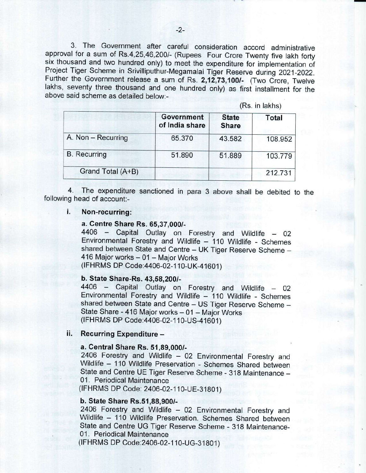3. The Government after careful consideration accord administrative approval for a sum of Rs.4,25,46,200/- (Rupees Four Crore Twenty five lakh forty six thousand and two hundred only) to meet the expenditure for implementation of Project Tiger Scheme in Srivilliputhur-Megamalai Tiger Reserve during 2021-2022. Further the Government release a sum of Rs. 2,12,73,100/- (Two Crore, Twelve lakhs, seventy three thousand and one hundred only) as first installment for the above said scheme as detailed below:-

(Rs. in lakhs)

|                     | Government<br>of India share | <b>State</b><br><b>Share</b> | Total   |
|---------------------|------------------------------|------------------------------|---------|
| A. Non - Recurring  | 65.370                       | 43.582                       | 108.952 |
| <b>B.</b> Recurring | 51.890                       | 51.889                       | 103.779 |
| Grand Total (A+B)   |                              |                              | 212.731 |

4. following head of account:- The expenditure sanctioned in para 3 above shall be debited to the

#### i. Non-recurring:

a. Centre Share Rs. 65,37,000/-<br>4406 - Capital Outlay on Forestry and Wildlife - 02 Environmental Forestry and Wildlife - 110 Wildlife - Schemes shared between State and Centre - UK Tiger Reserve Scheme -416 Major works - 01 - Major Works (IFHRMS DP Code: 4406-02-110-UK-41601)

### b. State Share-Rs. 43,58,200/-

4406 - Capital Outlay on Forestry and Wildlife - 02 Environmental Forestry and Wildlife - 110 Wildlife - Schemes shared between State and Centre - US Tiger Reserve Scheme -State Share - 416 Major works - 01 - Major Works (IFHRMS DP Code: 4406-02-110-US-41601)

#### Recurring Expenditure il.

## a. Central Share Rs. 51,89,000/-

2406 Forestry and Wildlife - 02 Environmental Forestry and Wildlife - 110 Wildlife Preservation - Schemes Shared between State and Centre UE Tiger Reserve Scheme - 318 Maintenance -01. Periodical Maintenance

(IFHRMS DP Code: 2406-02-110-UE-31801)

### b. State Share Rs.51,88,900/-

2406 Forestry and Wildlife - 02 Environmental Forestry and Wildlife - 110 Wildlife Preservation. Schemes Shared between state and centre UG Tiger Reserve scheme - 318 Maintenance-01. Periodical Maintenance

(IFHRMS DP Code: 2406-02-110-UG-31801)